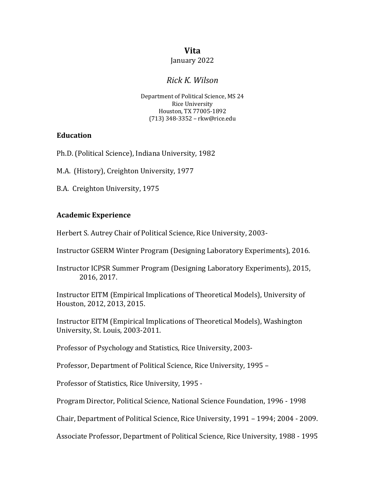## **Vita**

#### January 2022

# *Rick K. Wilson*

 Department of Political Science, MS 24 Houston, TX 77005-1892 Rice University (713) 348-3352 – [rkw@rice.edu](mailto:rkw@rice.edu)

#### **Education**

Ph.D. (Political Science), Indiana University, 1982

M.A. (History), Creighton University, 1977

 B.A. Creighton University, 1975

## **Academic Experience**

 Herbert S. Autrey Chair of Political Science, Rice University, 2003-

Instructor GSERM Winter Program (Designing Laboratory Experiments), 2016.

Instructor ICPSR Summer Program (Designing Laboratory Experiments), 2015, 2016, 2017.

 Instructor EITM (Empirical Implications of Theoretical Models), University of Houston, 2012, 2013, 2015.

 Instructor EITM (Empirical Implications of Theoretical Models), Washington University, St. Louis, 2003-2011.

Professor of Psychology and Statistics, Rice University, 2003-

 Professor, Department of Political Science, Rice University, 1995 –

Professor of Statistics, Rice University, 1995 -

Program Director, Political Science, National Science Foundation, 1996 - 1998

Chair, Department of Political Science, Rice University, 1991 - 1994; 2004 - 2009.

 Associate Professor, Department of Political Science, Rice University, 1988 - 1995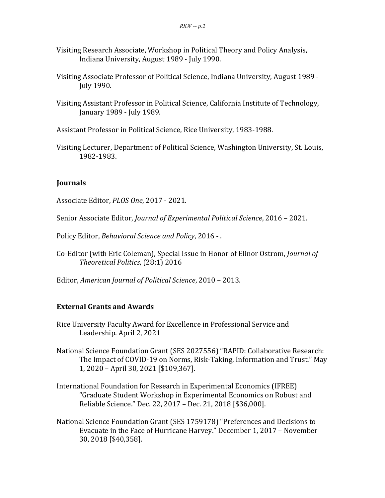- Visiting Research Associate, Workshop in Political Theory and Policy Analysis, Indiana University, August 1989 - July 1990.
- Visiting Associate Professor of Political Science, Indiana University, August 1989 July 1990.
- Visiting Assistant Professor in Political Science, California Institute of Technology, January 1989 - July 1989.
- Assistant Professor in Political Science, Rice University, 1983-1988.
- Visiting Lecturer, Department of Political Science, Washington University, St. Louis, 1982-1983.

## **Journals**

Associate Editor, *PLOS One*, 2017 - 2021.

Senior Associate Editor, *Journal of Experimental Political Science*, 2016 – 2021.

Policy Editor, *Behavioral Science and Policy*, 2016 -.

Co-Editor (with Eric Coleman), Special Issue in Honor of Elinor Ostrom, *Journal of Theoretical Politics*, (28:1) 2016

Editor, *American Journal of Political Science*, 2010 – 2013.

## **External Grants and Awards**

- Rice University Faculty Award for Excellence in Professional Service and Leadership. April 2, 2021
- National Science Foundation Grant (SES 2027556) "RAPID: Collaborative Research: The Impact of COVID-19 on Norms, Risk-Taking, Information and Trust." May 1, 2020 - April 30, 2021 [\$109,367].
- International Foundation for Research in Experimental Economics (IFREE) "Graduate Student Workshop in Experimental Economics on Robust and Reliable Science." Dec. 22, 2017 - Dec. 21, 2018 [\$36,000].
- Evacuate in the Face of Hurricane Harvey." December 1, 2017 November 30, 2018 [\$40,358].National Science Foundation Grant (SES 1759178) "Preferences and Decisions to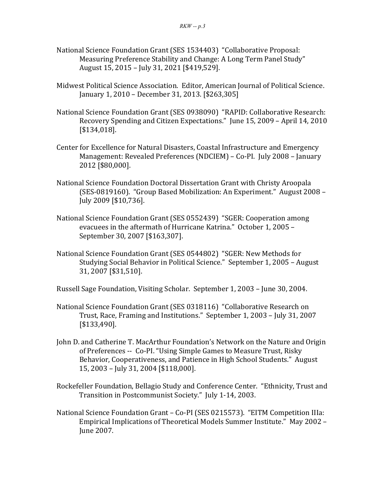- Measuring Preference Stability and Change: A Long Term Panel Study" August 15, 2015 – July 31, 2021 [\$419,529]. National Science Foundation Grant (SES 1534403) "Collaborative Proposal:
- Midwest Political Science Association. Editor, American Journal of Political Science. January 1, 2010 - December 31, 2013. [\$263,305]
- National Science Foundation Grant (SES 0938090) "RAPID: Collaborative Research: Recovery Spending and Citizen Expectations." June 15, 2009 - April 14, 2010 [\$134,018].
- Center for Excellence for Natural Disasters, Coastal Infrastructure and Emergency Management: Revealed Preferences (NDCIEM) - Co-PI. July 2008 - January 2012 [\$80,000].
- National Science Foundation Doctoral Dissertation Grant with Christy Aroopala (SES-0819160). "Group Based Mobilization: An Experiment." August 2008 – July 2009 [\$10,736].
- National Science Foundation Grant (SES 0552439) "SGER: Cooperation among evacuees in the aftermath of Hurricane Katrina." October 1, 2005 - September 30, 2007 [\$163,307].
- Studying Social Behavior in Political Science." September 1, 2005 August 31, 2007 [\$31,510]. National Science Foundation Grant (SES 0544802) "SGER: New Methods for

Russell Sage Foundation, Visiting Scholar. September 1, 2003 - June 30, 2004.

- Trust, Race, Framing and Institutions." September 1, 2003 July 31, 2007 National Science Foundation Grant (SES 0318116) "Collaborative Research on [\$133,490].
- John D. and Catherine T. MacArthur Foundation's Network on the Nature and Origin of Preferences -- Co-PI. "Using Simple Games to Measure Trust, Risky Behavior, Cooperativeness, and Patience in High School Students." August 15, 2003 – July 31, 2004 [\$118,000].
- Transition in Postcommunist Society." July 1-14, 2003. Rockefeller Foundation, Bellagio Study and Conference Center. "Ethnicity, Trust and
- National Science Foundation Grant Co-PI (SES 0215573). "EITM Competition IIIa: Empirical Implications of Theoretical Models Summer Institute." May 2002 – June 2007.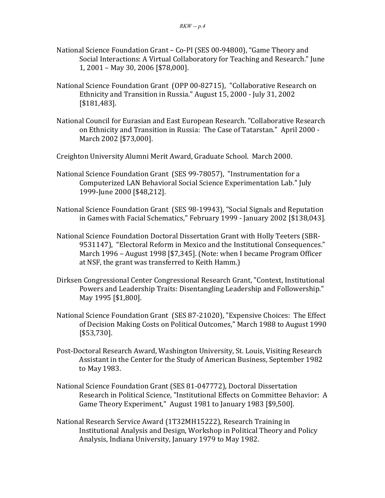- National Science Foundation Grant Co-PI (SES 00-94800), "Game Theory and Social Interactions: A Virtual Collaboratory for Teaching and Research." June 1, 2001 - May 30, 2006 [\$78,000].
- National Science Foundation Grant (OPP 00-82715), "Collaborative Research on Ethnicity and Transition in Russia." August 15, 2000 - July 31, 2002 [\$181,483].
- National Council for Eurasian and East European Research. "Collaborative Research on Ethnicity and Transition in Russia: The Case of Tatarstan." April 2000 - March 2002 [\$73,000].

 Creighton University Alumni Merit Award, Graduate School. March 2000.

- National Science Foundation Grant (SES 99-78057), "Instrumentation for a Computerized LAN Behavioral Social Science Experimentation Lab." July 1999-June 2000 [\$48,212].
- in Games with Facial Schematics," February 1999 January 2002 [\$138,043]. National Science Foundation Grant (SES 98-19943), "Social Signals and Reputation
- 9531147), "Electoral Reform in Mexico and the Institutional Consequences." March 1996 - August 1998 [\$7,345]. (Note: when I became Program Officer at NSF, the grant was transferred to Keith Hamm.) National Science Foundation Doctoral Dissertation Grant with Holly Teeters (SBR-
- Dirksen Congressional Center Congressional Research Grant, "Context, Institutional Powers and Leadership Traits: Disentangling Leadership and Followership." May 1995 [\$1,800].
- National Science Foundation Grant (SES 87-21020), "Expensive Choices: The Effect of Decision Making Costs on Political Outcomes," March 1988 to August 1990 [\$53,730].
- Post-Doctoral Research Award, Washington University, St. Louis, Visiting Research Assistant in the Center for the Study of American Business, September 1982 to May 1983.
- Research in Political Science, "Institutional Effects on Committee Behavior: A Game Theory Experiment," August 1981 to January 1983 [\$9,500]. National Science Foundation Grant (SES 81-047772), Doctoral Dissertation
- National Research Service Award (1T32MH15222), Research Training in Institutional Analysis and Design, Workshop in Political Theory and Policy Analysis, Indiana University, January 1979 to May 1982.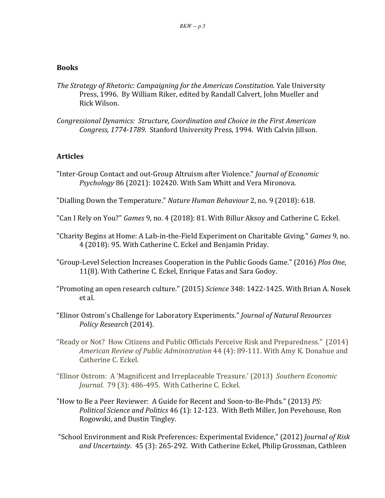#### **Books**

- *The Strategy of Rhetoric: Campaigning for the American Constitution.* Yale University Press, 1996. By William Riker, edited by Randall Calvert, John Mueller and Rick Wilson.
- *Congressional Dynamics: Structure, Coordination and Choice in the First American* Congress, 1774-1789. Stanford University Press, 1994. With Calvin Jillson.

#### **Articles**

"Inter-Group Contact and out-Group Altruism after Violence." *Journal of Economic* Psychology 86 (2021): 102420. With Sam Whitt and Vera Mironova.

"Dialling Down the Temperature." *Nature Human Behaviour* 2, no. 9 (2018): 618.

- "Can I Rely on You?" *Games* 9, no. 4 (2018): 81. With Billur Aksoy and Catherine C. Eckel.
- "Charity Begins at Home: A Lab-in-the-Field Experiment on Charitable Giving." *Games* 9, no. 4 (2018): 95. With Catherine C. Eckel and Benjamin Priday.
- "Group-Level Selection Increases Cooperation in the Public Goods Game." (2016) *Plos One*, 11(8). With Catherine C. Eckel, Enrique Fatas and Sara Godoy.
- "Promoting an open research culture." (2015) *Science* 348: 1422-1425. With Brian A. Nosek et al.
- "Elinor Ostrom's Challenge for Laboratory Experiments." *Journal of Natural Resources Policy Research* (2014).
- "Ready or Not? How Citizens and Public Officials Perceive Risk and Preparedness." (2014) *American Review of Public Administration* 44 (4): 89-111. With Amy K. Donahue and Catherine C. Eckel.
- "Elinor Ostrom: A 'Magnificent and Irreplaceable Treasure.' (2013) *Southern Economic Journal.* 79 (3): 486-495. With Catherine C. Eckel.
- "How to Be a Peer Reviewer: A Guide for Recent and Soon-to-Be-Phds." (2013) PS: *Political Science and Politics* 46 (1): 12-123. With Beth Miller, Jon Pevehouse, Ron Rogowski, and Dustin Tingley.
- "School Environment and Risk Preferences: Experimental Evidence," (2012) *Journal of Risk and Uncertainty*. 45 (3): 265-292. With Catherine Eckel, Philip Grossman, Cathleen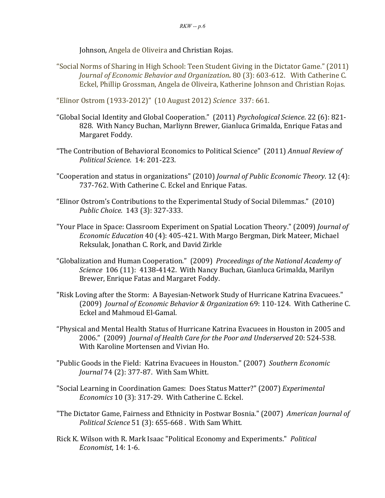Johnson, Angela de Oliveira and Christian Rojas.

"Social Norms of Sharing in High School: Teen Student Giving in the Dictator Game." (2011)  *Journal of Economic Behavior and Organization.* 80 (3): 603-612. With Catherine C. Eckel, Phillip Grossman, Angela de Oliveira, Katherine Johnson and Christian Rojas.

 "Elinor Ostrom (1933-2012)" (10 August 2012) *Science*  337: 661.

- 828. With Nancy Buchan, Marliynn Brewer, Gianluca Grimalda, Enrique Fatas and "Global Social Identity and Global Cooperation." (2011) *Psychological Science*. 22 (6): 821- Margaret Foddy.
- "The Contribution of Behavioral Economics to Political Science" (2011) *Annual Review of Political Science*. 14: 201-223.
- "Cooperation and status in organizations" (2010) *Journal of Public Economic Theory*. 12 (4): 737-762. With Catherine C. Eckel and Enrique Fatas.
- "Elinor Ostrom's Contributions to the Experimental Study of Social Dilemmas." (2010) *Public Choice*. 143 (3): 327-333.
- "Your Place in Space: Classroom Experiment on Spatial Location Theory." (2009) *Journal of Economic Education* 40 (4): 405-421. With Margo Bergman, Dirk Mateer, Michael Reksulak, Jonathan C. Rork, and David Zirkle
- "Globalization and Human Cooperation." (2009) *Proceedings of the National Academy of* Science 106 (11): 4138-4142. With Nancy Buchan, Gianluca Grimalda, Marilyn Brewer, Enrique Fatas and Margaret Foddy.
- "Risk Loving after the Storm: A Bayesian-Network Study of Hurricane Katrina Evacuees."  (2009) *Journal of Economic Behavior & Organization* 69: 110-124. With Catherine C. Eckel and Mahmoud El-Gamal.
- 2006." (2009) *Journal of Health Care for the Poor and Underserved* 20: 524-538. "Physical and Mental Health Status of Hurricane Katrina Evacuees in Houston in 2005 and With Karoline Mortensen and Vivian Ho.
- "Public Goods in the Field: Katrina Evacuees in Houston." (2007) Southern *Economic Journal* 74 (2): 377-87. With Sam Whitt.
- "Social Learning in Coordination Games: Does Status Matter?" (2007) *Experimental Economics* 10 (3): 317-29. With Catherine C. Eckel.
- "The Dictator Game, Fairness and Ethnicity in Postwar Bosnia." (2007) *American Journal of Political Science* 51 (3): 655-668 . With Sam Whitt.
- Rick K. Wilson with R. Mark Isaac "Political Economy and Experiments." *Political Economist*, 14: 1-6.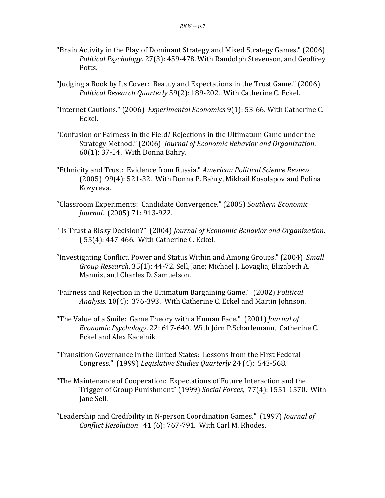- "Brain Activity in the Play of Dominant Strategy and Mixed Strategy Games." (2006) *Political Psychology.* 27(3): 459-478. With Randolph Stevenson, and Geoffrey Potts.
- "Judging a Book by Its Cover: Beauty and Expectations in the Trust Game." (2006)  *Political Research Quarterly* 59(2): 189-202. With Catherine C. Eckel.
- "Internet Cautions." (2006) *Experimental Economics* 9(1): 53-66. With Catherine C. Eckel.
- "Confusion or Fairness in the Field? Rejections in the Ultimatum Game under the  Strategy Method." (2006) *Journal of Economic Behavior and Organization*.  $60(1)$ : 37-54. With Donna Bahry.
- "Ethnicity and Trust: Evidence from Russia." *American Political Science Review* (2005) 99(4): 521-32. With Donna P. Bahry, Mikhail Kosolapov and Polina Kozyreva.
- "Classroom Experiments: Candidate Convergence." (2005) *Southern Economic Journal.* (2005) 71: 913-922.
- "Is Trust a Risky Decision?" (2004) *Journal of Economic Behavior and Organization*.  $(55(4): 447-466.$  With Catherine C. Eckel.
- "Investigating Conflict, Power and Status Within and Among Groups." (2004) *Small Group Research*. 35(1): 44-72. Sell, Jane; Michael J. Lovaglia; Elizabeth A. Mannix, and Charles D. Samuelson.
- "Fairness and Rejection in the Ultimatum Bargaining Game." (2002) *Political* Analysis. 10(4): 376-393. With Catherine C. Eckel and Martin Johnson.
- "The Value of a Smile: Game Theory with a Human Face." (2001) *Journal of Economic Psychology*. 22: 617-640. With Jörn P.Scharlemann, Catherine C. Eckel and Alex Kacelnik
- "Transition Governance in the United States: Lessons from the First Federal Congress." (1999) Legislative Studies Quarterly 24 (4): 543-568.
- Trigger of Group Punishment" (1999) *Social Forces,* 77(4): 1551-1570. With "The Maintenance of Cooperation: Expectations of Future Interaction and the Jane Sell.
- "Leadership and Credibility in N-person Coordination Games." (1997) *Journal of Conflict Resolution* 41 (6): 767-791. With Carl M. Rhodes.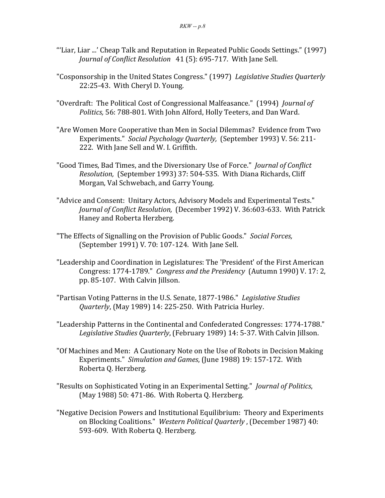- Journal of Conflict Resolution 41 (5): 695-717. With Jane Sell. "'Liar, Liar ...' Cheap Talk and Reputation in Repeated Public Goods Settings." (1997)
- "Cosponsorship in the United States Congress." (1997) Legislative Studies Quarterly 22:25-43. With Cheryl D. Young.
- "Overdraft: The Political Cost of Congressional Malfeasance." (1994) *Journal of* Politics, 56: 788-801. With John Alford, Holly Teeters, and Dan Ward.
- "Are Women More Cooperative than Men in Social Dilemmas? Evidence from Two Experiments." *Social Psychology Quarterly,* (September 1993) V. 56: 211- 222. With Jane Sell and W. I. Griffith.
- "Good Times, Bad Times, and the Diversionary Use of Force." *Journal of Conflict Resolution,* (September 1993) 37: 504-535. With Diana Richards, Cliff Morgan, Val Schwebach, and Garry Young.
- "Advice and Consent: Unitary Actors, Advisory Models and Experimental Tests." Journal of Conflict Resolution, (December 1992) V. 36:603-633. With Patrick Haney and Roberta Herzberg.
- "The Effects of Signalling on the Provision of Public Goods." Social Forces, (September 1991) V. 70: 107-124. With Jane Sell.
- "Leadership and Coordination in Legislatures: The 'President' of the First American Congress: 1774-1789." *Congress and the Presidency* (Autumn 1990) V. 17: 2, pp. 85-107. With Calvin Jillson.
- "Partisan Voting Patterns in the U.S. Senate, 1877-1986." Legislative Studies *Quarterly*, (May 1989) 14: 225-250. With Patricia Hurley.
- "Leadership Patterns in the Continental and Confederated Congresses: 1774-1788." Legislative Studies Quarterly, (February 1989) 14: 5-37. With Calvin Jillson.
- "Of Machines and Men: A Cautionary Note on the Use of Robots in Decision Making  Experiments." *Simulation and Games*, (June 1988) 19: 157-172. With Roberta Q. Herzberg.
- "Results on Sophisticated Voting in an Experimental Setting." *Journal of Politics*,  $(May 1988)$  50: 471-86. With Roberta Q. Herzberg.
- "Negative Decision Powers and Institutional Equilibrium: Theory and Experiments on Blocking Coalitions." Western Political Quarterly, (December 1987) 40: 593-609. With Roberta Q. Herzberg.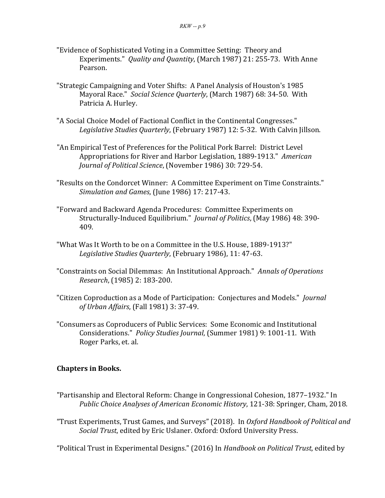- "Evidence of Sophisticated Voting in a Committee Setting: Theory and Experiments." *Quality and Quantity*, (March 1987) 21: 255-73. With Anne Pearson.
- "Strategic Campaigning and Voter Shifts: A Panel Analysis of Houston's 1985 Mayoral Race." Social Science Quarterly, (March 1987) 68: 34-50. With Patricia A. Hurley.
- "A Social Choice Model of Factional Conflict in the Continental Congresses." Legislative Studies Quarterly, (February 1987) 12: 5-32. With Calvin Jillson.
- "An Empirical Test of Preferences for the Political Pork Barrel: District Level Appropriations for River and Harbor Legislation, 1889-1913." *American Journal of Political Science*, (November 1986) 30: 729-54.
- "Results on the Condorcet Winner: A Committee Experiment on Time Constraints."  *Simulation and Games*, (June 1986) 17: 217-43.
- "Forward and Backward Agenda Procedures: Committee Experiments on  Structurally-Induced Equilibrium." *Journal of Politics*, (May 1986) 48: 390- 409.
- "What Was It Worth to be on a Committee in the U.S. House, 1889-1913?" Legislative Studies Quarterly, (February 1986), 11: 47-63.
- "Constraints on Social Dilemmas: An Institutional Approach." *Annals of Operations Research*, (1985) 2: 183-200.
- *of Urban Affairs*, (Fall 1981) 3: 37-49. "Citizen Coproduction as a Mode of Participation: Conjectures and Models." *Journal*
- "Consumers as Coproducers of Public Services: Some Economic and Institutional Considerations." *Policy Studies Journal*, (Summer 1981) 9: 1001-11. With Roger Parks, et. al.

## **Chapters in Books.**

- "Partisanship and Electoral Reform: Change in Congressional Cohesion, 1877-1932." In *Public Choice Analyses of American Economic History*, 121-38: Springer, Cham, 2018.
- "Trust Experiments, Trust Games, and Surveys" (2018). In *Oxford Handbook of Political and Social Trust, edited by Eric Uslaner. Oxford: Oxford University Press.*

  "Political Trust in Experimental Designs." (2016) In *Handbook on Political Trust*, edited by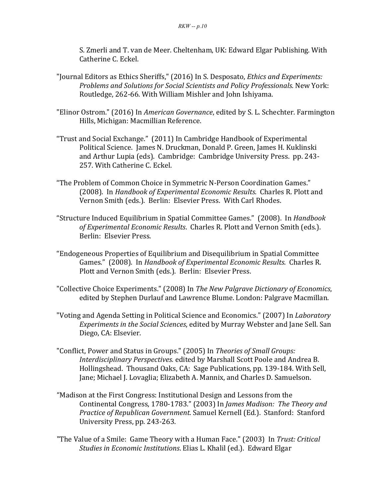S. Zmerli and T. van de Meer. Cheltenham, UK: Edward Elgar Publishing. With Catherine C. Eckel.

- "Journal Editors as Ethics Sheriffs," (2016) In S. Desposato, *Ethics and Experiments: Problems and Solutions for Social Scientists and Policy Professionals.* New York: Routledge, 262-66. With William Mishler and John Ishiyama.
- "Elinor Ostrom." (2016) In *American Governance*, edited by S. L. Schechter. Farmington Hills, Michigan: Macmillian Reference.
- "Trust and Social Exchange." (2011) In Cambridge Handbook of Experimental Political Science. James N. Druckman, Donald P. Green, James H. Kuklinski and Arthur Lupia (eds). Cambridge: Cambridge University Press. pp. 243- 257. With Catherine C. Eckel.
- "The Problem of Common Choice in Symmetric N-Person Coordination Games." (2008). In *Handbook of Experimental Economic Results*. Charles R. Plott and Vernon Smith (eds.). Berlin: Elsevier Press. With Carl Rhodes.
- "Structure Induced Equilibrium in Spatial Committee Games." (2008). In *Handbook* of *Experimental Economic Results*. Charles R. Plott and Vernon Smith (eds.). Berlin: Elsevier Press.
- "Endogeneous Properties of Equilibrium and Disequilibrium in Spatial Committee  Games." (2008). In *Handbook of Experimental Economic Results*. Charles R. Plott and Vernon Smith (eds.). Berlin: Elsevier Press.
- "Collective Choice Experiments." (2008) In *The New Palgrave Dictionary of Economics*, edited by Stephen Durlauf and Lawrence Blume. London: Palgrave Macmillan.
- "Voting and Agenda Setting in Political Science and Economics." (2007) In *Laboratory Experiments in the Social Sciences*, edited by Murray Webster and Jane Sell. San Diego, CA: Elsevier.
- "Conflict, Power and Status in Groups." (2005) In *Theories of Small Groups: Interdisciplinary Perspectives.* edited by Marshall Scott Poole and Andrea B. Hollingshead. Thousand Oaks, CA: Sage Publications, pp. 139-184. With Sell, Jane; Michael J. Lovaglia; Elizabeth A. Mannix, and Charles D. Samuelson.
- "Madison at the First Congress: Institutional Design and Lessons from the Continental Congress, 1780-1783." (2003) In James Madison: The Theory and *Practice of Republican Government*. Samuel Kernell (Ed.). Stanford: Stanford University Press, pp. 243-263.
- "The Value of a Smile: Game Theory with a Human Face." (2003) In *Trust: Critical Studies in Economic Institutions*. Elias L. Khalil (ed.). Edward Elgar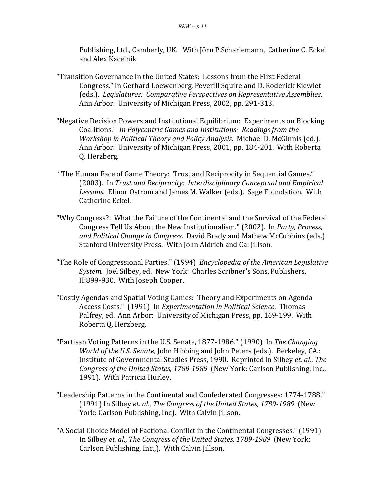Publishing, Ltd., Camberly, UK. With Jörn P.Scharlemann, Catherine C. Eckel and Alex Kacelnik

- "Transition Governance in the United States: Lessons from the First Federal Congress." In Gerhard Loewenberg, Peverill Squire and D. Roderick Kiewiet  (eds.). *Legislatures: Comparative Perspectives on Representative Assemblies*. Ann Arbor: University of Michigan Press, 2002, pp. 291-313.
- "Negative Decision Powers and Institutional Equilibrium: Experiments on Blocking  $\Box$  *Coalitions." In Polycentric Games and Institutions: Readings from the Workshop* in Political Theory and Policy Analysis. Michael D. McGinnis (ed.). Ann Arbor: University of Michigan Press, 2001, pp. 184-201. With Roberta Q. Herzberg.
- "The Human Face of Game Theory: Trust and Reciprocity in Sequential Games."  (2003). In *Trust and Reciprocity: Interdisciplinary Conceptual and Empirical* Lessons. Elinor Ostrom and James M. Walker (eds.). Sage Foundation. With Catherine Eckel.
- Congress Tell Us About the New Institutionalism." (2002). In *Party, Process,* and Political Change in Congress. David Brady and Mathew McCubbins (eds.) Stanford University Press. With John Aldrich and Cal Jillson. "Why Congress?: What the Failure of the Continental and the Survival of the Federal
- "The Role of Congressional Parties." (1994) Encyclopedia of the American Legislative System. Joel Silbey, ed. New York: Charles Scribner's Sons, Publishers, II:899-930. With Joseph Cooper.
- "Costly Agendas and Spatial Voting Games: Theory and Experiments on Agenda Access Costs." (1991) In *Experimentation in Political Science*. Thomas Palfrey, ed. Ann Arbor: University of Michigan Press, pp. 169-199. With Roberta Q. Herzberg.
- *World of the U.S. Senate*, John Hibbing and John Peters (eds.). Berkeley, CA.: Institute of Governmental Studies Press, 1990. Reprinted in Silbey et. al., The *Congress of the United States, 1789-1989* (New York: Carlson Publishing, Inc., "Partisan Voting Patterns in the U.S. Senate, 1877-1986." (1990) In The Changing 1991). With Patricia Hurley.
- (1991) In Silbey *et. al*., *The Congress of the United States, 1789-1989* (New "Leadership Patterns in the Continental and Confederated Congresses: 1774-1788." York: Carlson Publishing, Inc). With Calvin Jillson.
- "A Social Choice Model of Factional Conflict in the Continental Congresses." (1991) In Silbey *et. al., The Congress of the United States, 1789-1989* (New York: Carlson Publishing, Inc.,). With Calvin Jillson.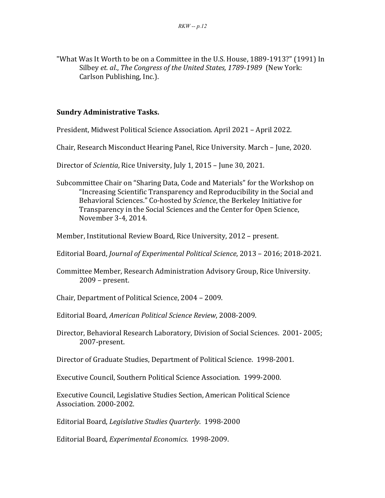"What Was It Worth to be on a Committee in the U.S. House, 1889-1913?" (1991) In Silbey et. al., The Congress of the United States, 1789-1989 (New York: Carlson Publishing, Inc.).

#### **Sundry Administrative Tasks.**

- President, Midwest Political Science Association. April 2021 April 2022.
- Chair, Research Misconduct Hearing Panel, Rice University. March June, 2020.
- Director of *Scientia*, Rice University, July 1, 2015 June 30, 2021.
- Subcommittee Chair on "Sharing Data, Code and Materials" for the Workshop on November 3-4, 2014. "Increasing Scientific Transparency and Reproducibility in the Social and Behavioral Sciences." Co-hosted by *Science*, the Berkeley Initiative for Transparency in the Social Sciences and the Center for Open Science,
- Member, Institutional Review Board, Rice University, 2012 present.
- Editorial Board, *Journal of Experimental Political Science*, 2013 – 2016; 2018-2021.
- Committee Member, Research Administration Advisory Group, Rice University. 2009 - present.
- Chair, Department of Political Science, 2004 2009.
- Editorial Board, *American Political Science Review*, 2008-2009.
- Director, Behavioral Research Laboratory, Division of Social Sciences. 2001-2005; 2007-present.
- Director of Graduate Studies, Department of Political Science. 1998-2001.
- Executive Council, Southern Political Science Association. 1999-2000.
- Executive Council, Legislative Studies Section, American Political Science Association. 2000-2002.
- Editorial Board, *Legislative Studies Quarterly*. 1998-2000

Editorial Board, *Experimental Economics*. 1998-2009.